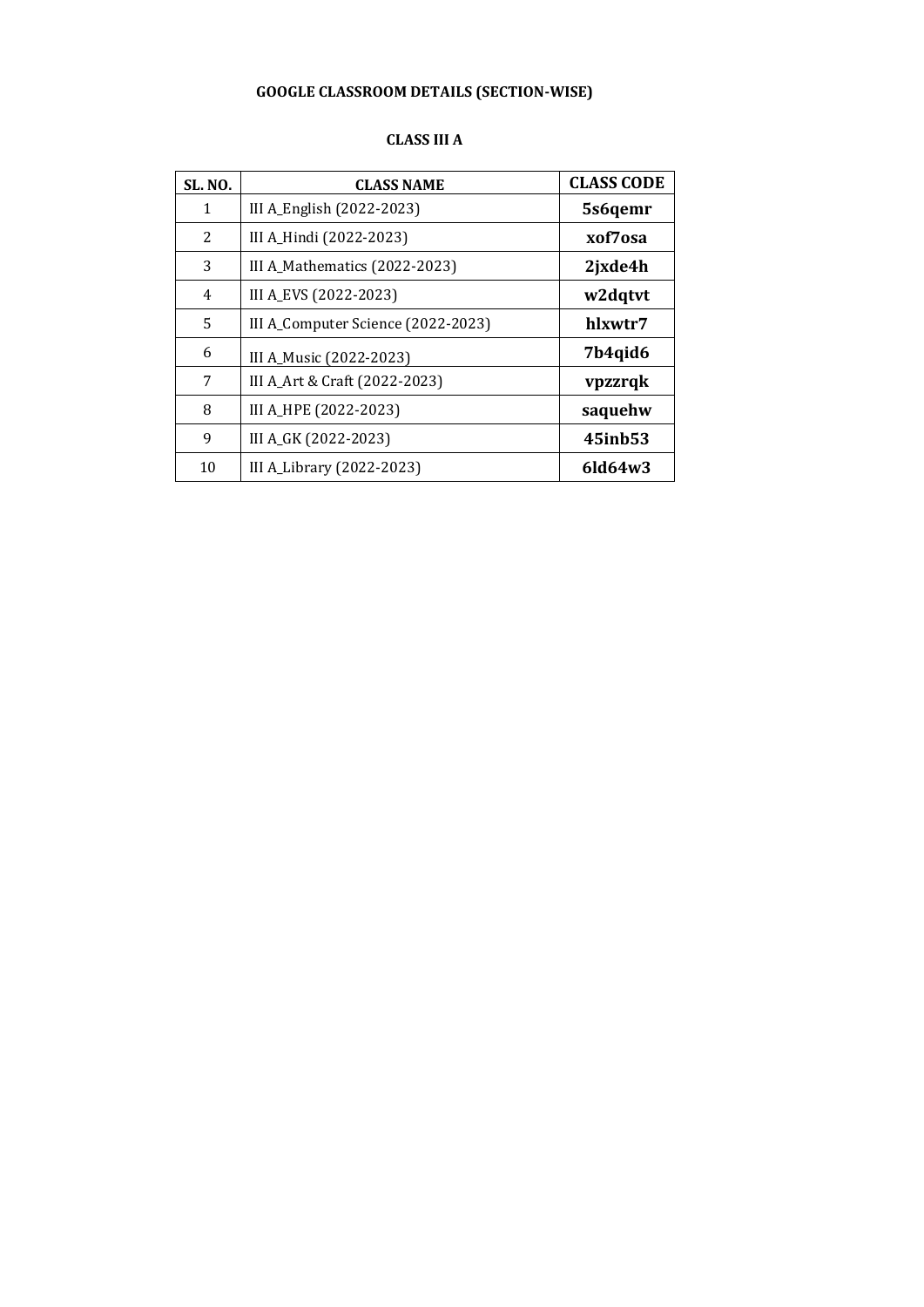# **GOOGLE CLASSROOM DETAILS (SECTION-WISE)**

#### **CLASS III A**

| <b>SL. NO.</b> | <b>CLASS NAME</b>                  | <b>CLASS CODE</b> |
|----------------|------------------------------------|-------------------|
| $\mathbf{1}$   | III A_English (2022-2023)          | 5s6qemr           |
| 2              | III A_Hindi (2022-2023)            | xof7osa           |
| 3              | III A_Mathematics (2022-2023)      | 2jxde4h           |
| 4              | III A_EVS (2022-2023)              | w2dqtvt           |
| 5              | III A_Computer Science (2022-2023) | hlxwtr7           |
| 6              | III A_Music (2022-2023)            | 7b4qid6           |
| 7              | III A_Art & Craft (2022-2023)      | vpzzrqk           |
| 8              | III A_HPE (2022-2023)              | saquehw           |
| 9              | III A_GK (2022-2023)               | 45inb53           |
| 10             | III A_Library (2022-2023)          | $6$ ld $64w3$     |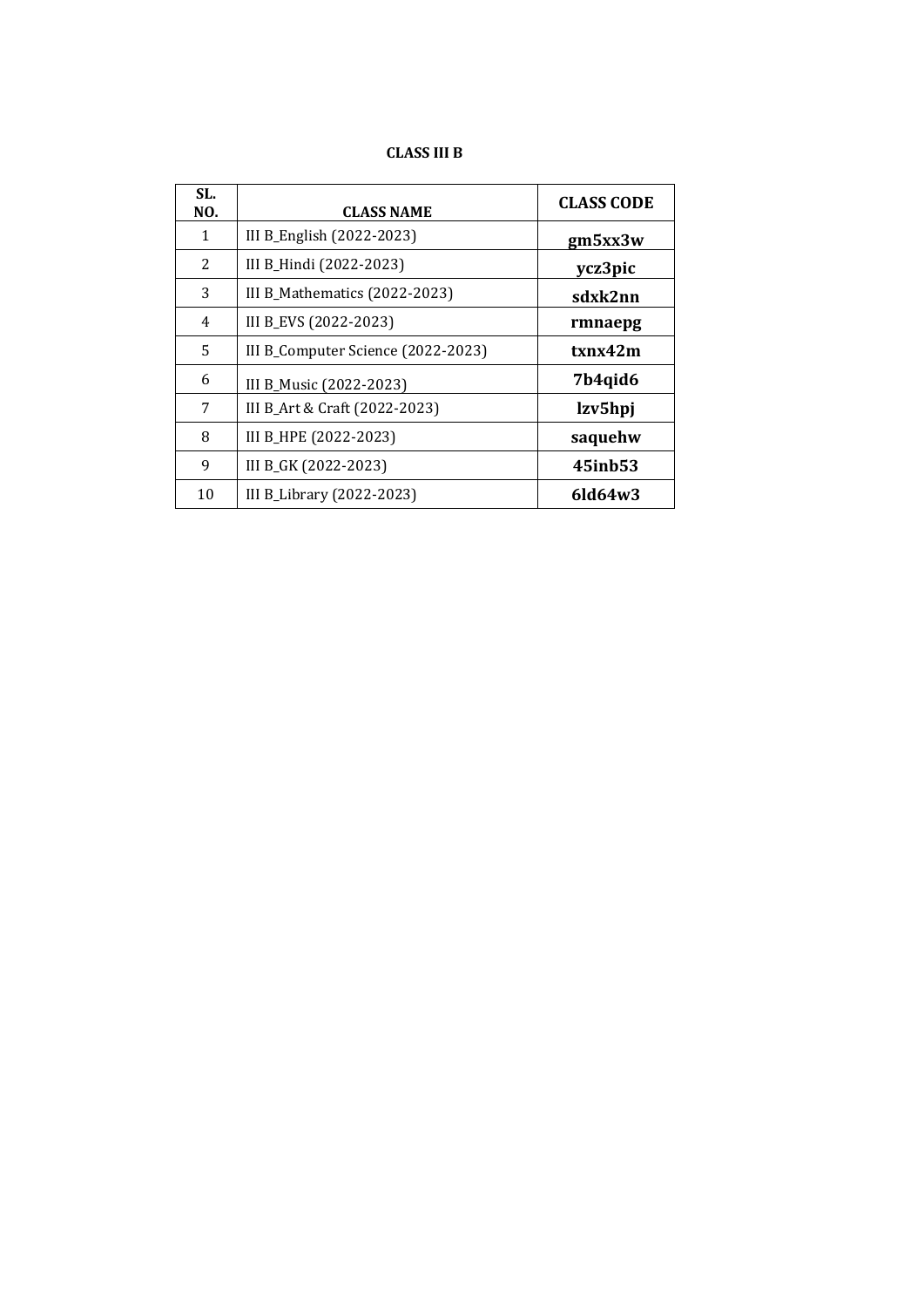# **CLASS III B**

| SL.<br>NO. | <b>CLASS NAME</b>                  | <b>CLASS CODE</b> |
|------------|------------------------------------|-------------------|
| 1          | III B_English (2022-2023)          | gm5xx3w           |
| 2          | III B_Hindi (2022-2023)            | ycz3pic           |
| 3          | III B_Mathematics (2022-2023)      | sdxk2nn           |
| 4          | III B_EVS (2022-2023)              | rmnaepg           |
| 5          | III B_Computer Science (2022-2023) | txnx42m           |
| 6          | III B_Music (2022-2023)            | 7b4qid6           |
| 7          | III B_Art & Craft (2022-2023)      | lzv5hpj           |
| 8          | III B_HPE (2022-2023)              | saquehw           |
| 9          | III B_GK (2022-2023)               | 45inb53           |
| 10         | III B_Library (2022-2023)          | $6$ ld $64w3$     |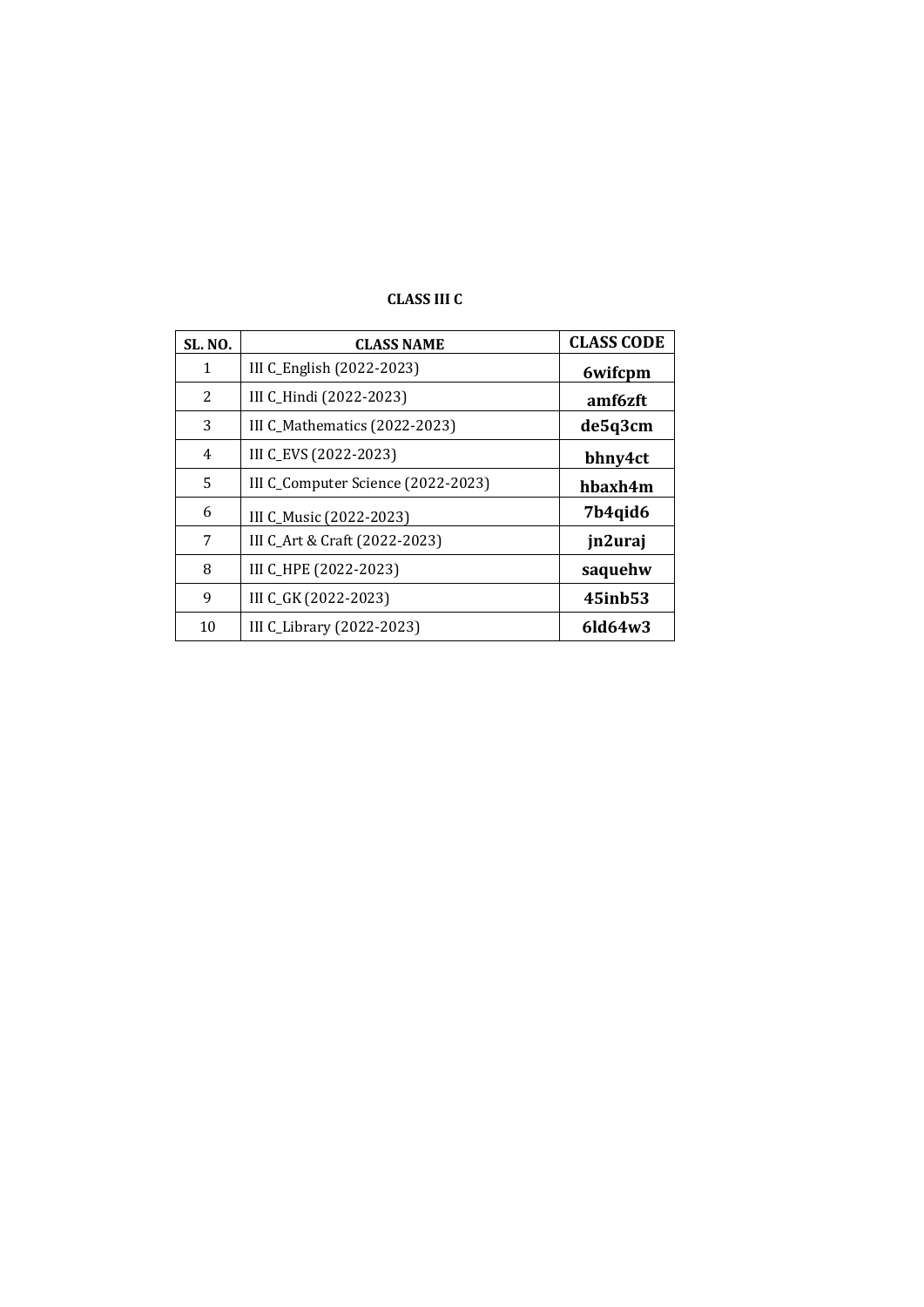| <b>SL. NO.</b> | <b>CLASS NAME</b>                  | <b>CLASS CODE</b> |
|----------------|------------------------------------|-------------------|
| 1              | III C_English (2022-2023)          | 6wifcpm           |
| 2              | III C_Hindi (2022-2023)            | amf6zft           |
| 3              | III C_Mathematics (2022-2023)      | de5q3cm           |
| 4              | III C_EVS (2022-2023)              | bhny4ct           |
| 5              | III C_Computer Science (2022-2023) | hbaxh4m           |
| 6              | III C_Music (2022-2023)            | 7b4qid6           |
| 7              | III C_Art & Craft (2022-2023)      | jn2uraj           |
| 8              | III C_HPE (2022-2023)              | saquehw           |
| 9              | III C_GK (2022-2023)               | 45inb53           |
| 10             | III C_Library (2022-2023)          | $6$ ld $64w3$     |

# **CLASS III C**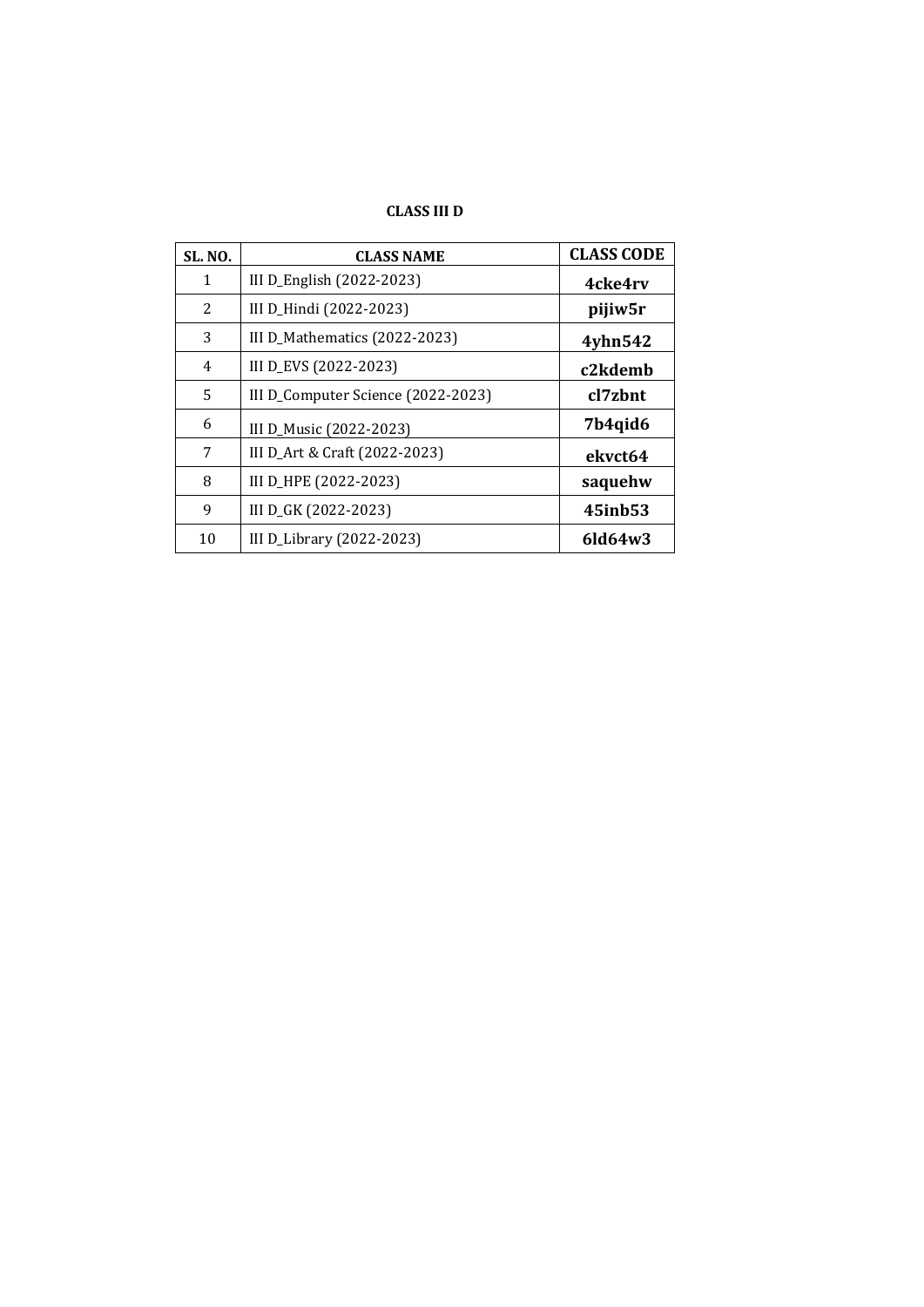# **CLASS III D**

| <b>SL. NO.</b> | <b>CLASS NAME</b>                  | <b>CLASS CODE</b> |
|----------------|------------------------------------|-------------------|
| $\mathbf{1}$   | III D_English (2022-2023)          | 4cke4rv           |
| 2              | III D_Hindi (2022-2023)            | pijiw5r           |
| 3              | III D_Mathematics (2022-2023)      | 4yhn542           |
| 4              | III D_EVS (2022-2023)              | c2kdemb           |
| 5              | III D_Computer Science (2022-2023) | cl7zhnt           |
| 6              | III D_Music (2022-2023)            | 7b4qid6           |
| 7              | III D_Art & Craft (2022-2023)      | ekvct64           |
| 8              | III D_HPE (2022-2023)              | saquehw           |
| 9              | III D_GK (2022-2023)               | 45inb53           |
| 10             | III D_Library $(2022-2023)$        | $6$ ld $64w3$     |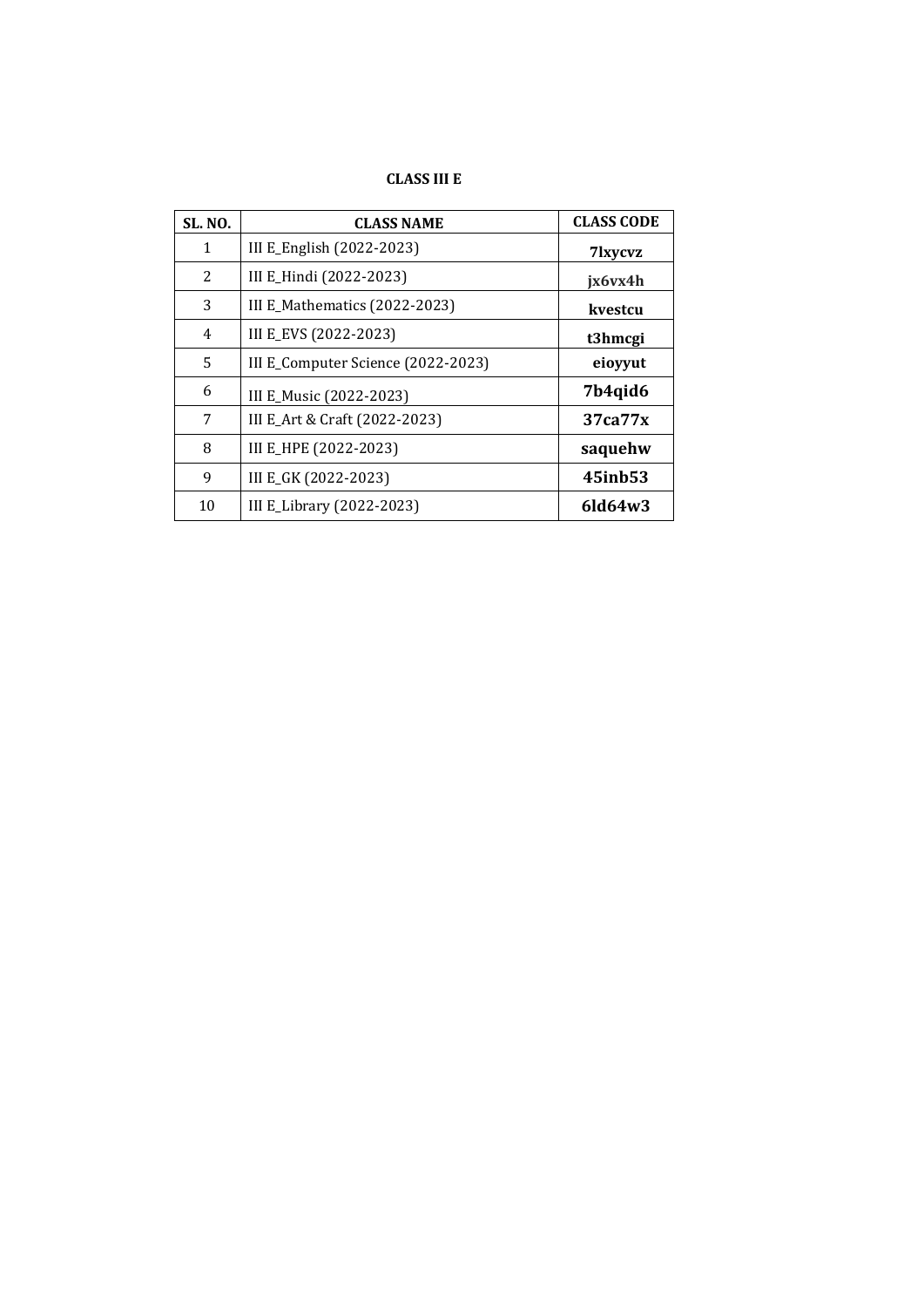# **CLASS III E**

| <b>SL. NO.</b> | <b>CLASS NAME</b>                  | <b>CLASS CODE</b>   |
|----------------|------------------------------------|---------------------|
| $\mathbf{1}$   | III E_English (2022-2023)          | 7 <sub>lxvcvz</sub> |
| 2              | III E_Hindi (2022-2023)            | jx6vx4h             |
| 3              | III E_Mathematics (2022-2023)      | kvestcu             |
| 4              | III E_EVS (2022-2023)              | t3hmcgi             |
| 5              | III E_Computer Science (2022-2023) | eioyyut             |
| 6              | III E_Music (2022-2023)            | 7b4qid6             |
| 7              | III E_Art & Craft (2022-2023)      | 37ca77x             |
| 8              | III E_HPE (2022-2023)              | saquehw             |
| 9              | III E_GK (2022-2023)               | 45inb53             |
| 10             | III E_Library (2022-2023)          | $6$ ld $64w3$       |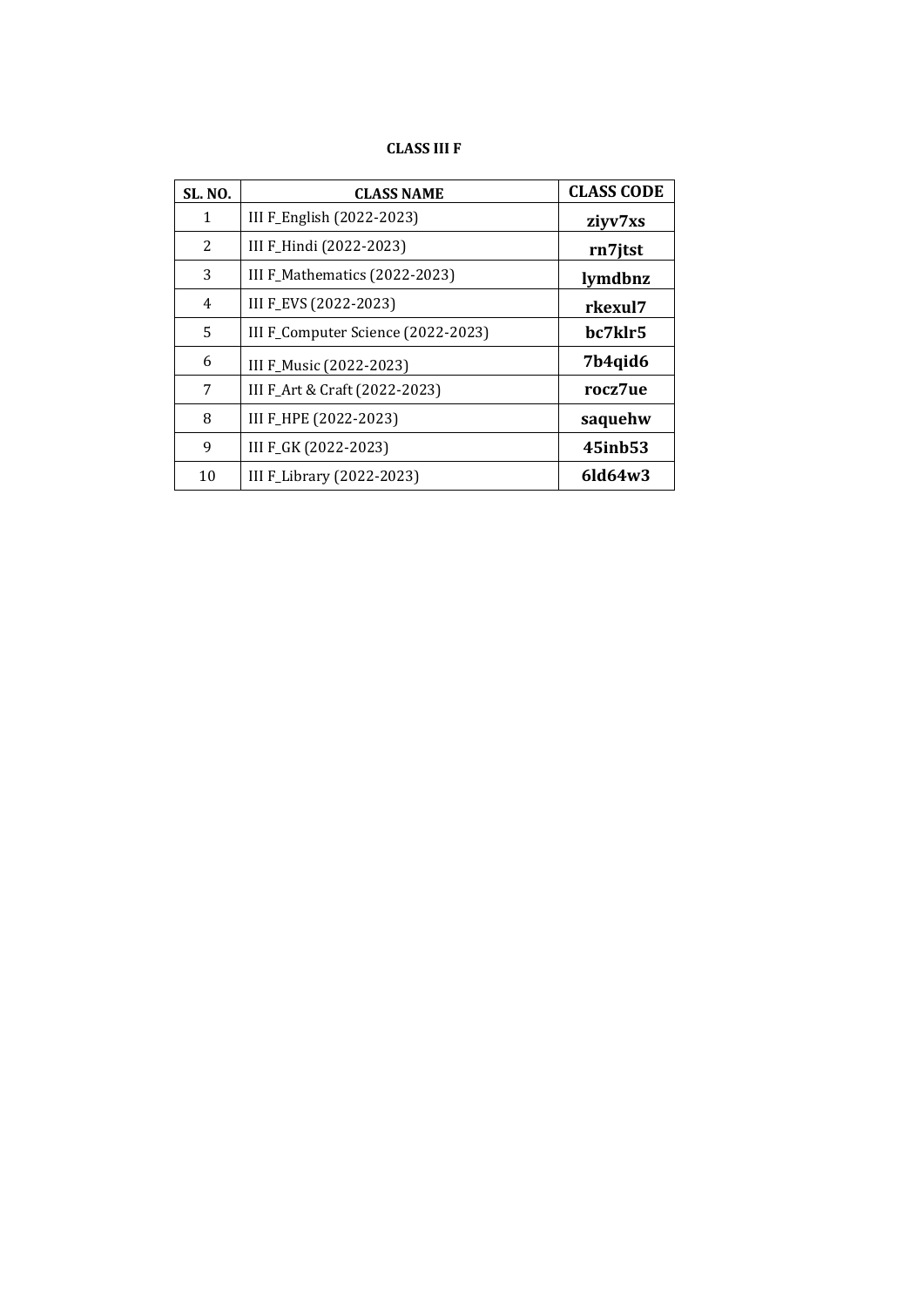# **CLASS III F**

| <b>SL. NO.</b> | <b>CLASS NAME</b>                  | <b>CLASS CODE</b> |
|----------------|------------------------------------|-------------------|
| 1              | III F_English (2022-2023)          | ziyv7xs           |
| 2              | III F_Hindi (2022-2023)            | rn7jtst           |
| 3              | III F_Mathematics (2022-2023)      | lymdbnz           |
| $\overline{4}$ | III F_EVS (2022-2023)              | rkexul7           |
| 5              | III F_Computer Science (2022-2023) | bc7klr5           |
| 6              | III F_Music (2022-2023)            | 7b4qid6           |
| 7              | III F_Art & Craft (2022-2023)      | rocz7ue           |
| 8              | III F_HPE (2022-2023)              | saquehw           |
| 9              | III F_GK (2022-2023)               | 45inb53           |
| 10             | III F_Library (2022-2023)          | $6$ ld $64w3$     |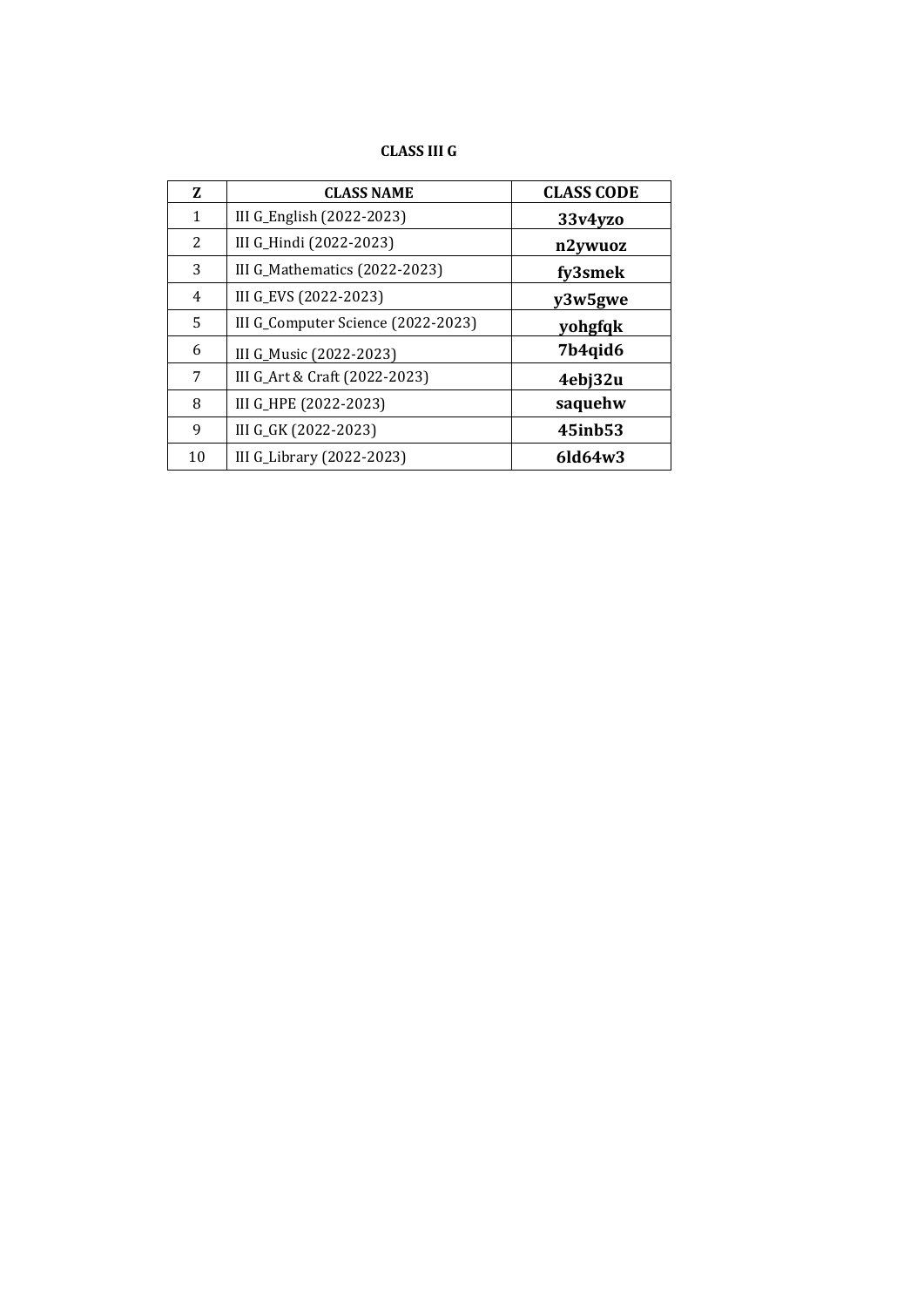# **CLASS III G**

| 7. | <b>CLASS NAME</b>                  | <b>CLASS CODE</b> |
|----|------------------------------------|-------------------|
| 1  | III G_English (2022-2023)          | 33v4yzo           |
| 2  | III G_Hindi (2022-2023)            | n2ywuoz           |
| 3  | III G_Mathematics (2022-2023)      | fy3smek           |
| 4  | III G_EVS (2022-2023)              | y3w5gwe           |
| 5. | III G_Computer Science (2022-2023) | yohgfqk           |
| 6  | III G_Music (2022-2023)            | 7b4qid6           |
| 7  | III G_Art & Craft (2022-2023)      | 4ebj32u           |
| 8  | III G_HPE (2022-2023)              | saquehw           |
| 9  | III G_GK (2022-2023)               | 45inb53           |
| 10 | III G_Library (2022-2023)          | $6$ ld $64w3$     |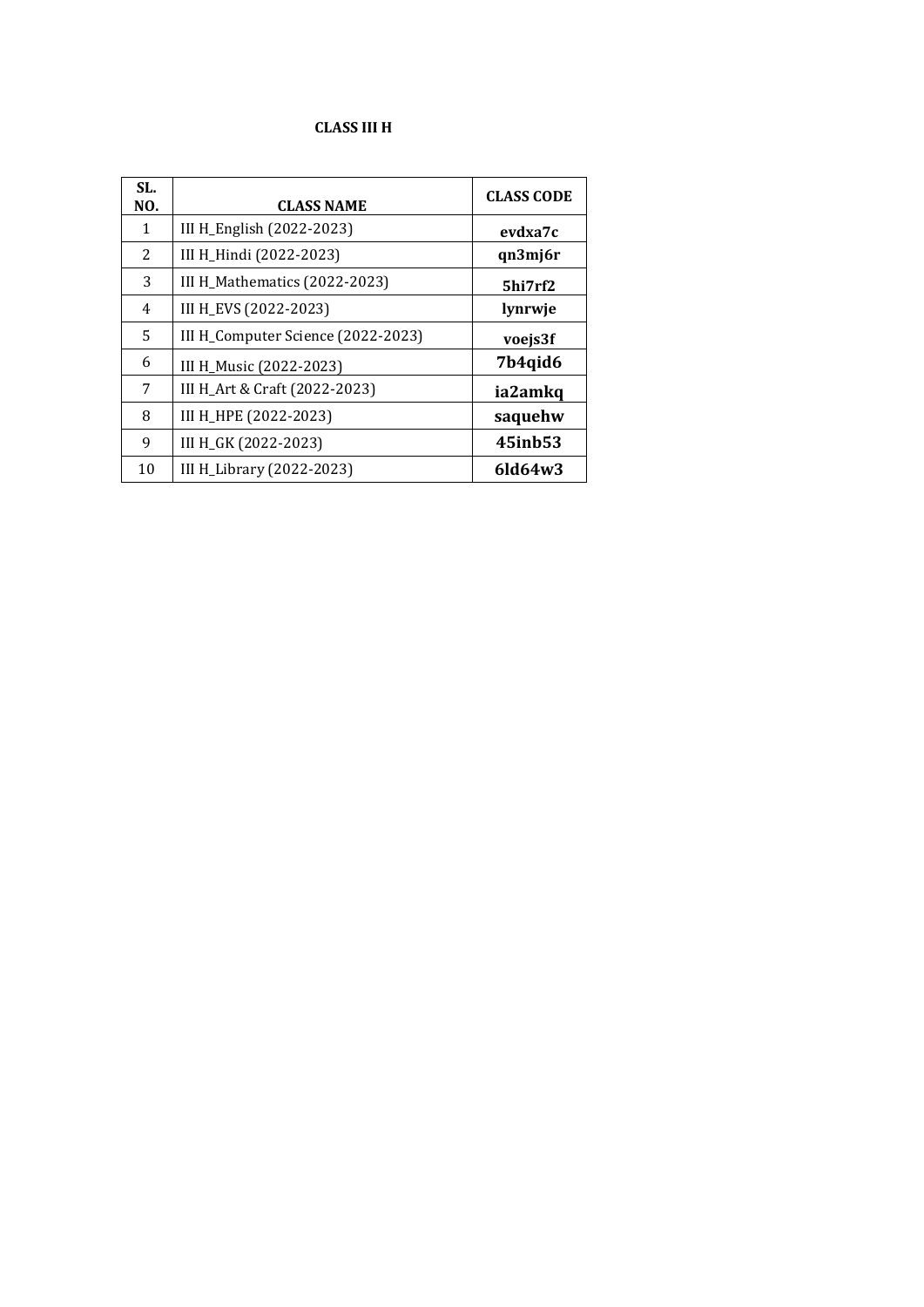# **CLASS III H**

| SL.<br>NO. | <b>CLASS NAME</b>                  | <b>CLASS CODE</b> |
|------------|------------------------------------|-------------------|
| 1          | III H_English (2022-2023)          | evdxa7c           |
| 2          | III H_Hindi (2022-2023)            | qn3mj6r           |
| 3          | III H_Mathematics (2022-2023)      | 5hi7rf2           |
| 4          | III H_EVS (2022-2023)              | lynrwje           |
| 5          | III H_Computer Science (2022-2023) | voejs3f           |
| 6          | III H_Music (2022-2023)            | 7b4qid6           |
| 7          | III H_Art & Craft (2022-2023)      | ia2amkq           |
| 8          | III H_HPE (2022-2023)              | saquehw           |
| 9          | III H_GK (2022-2023)               | 45inb53           |
| 10         | III H_Library (2022-2023)          | $6$ ld $64w3$     |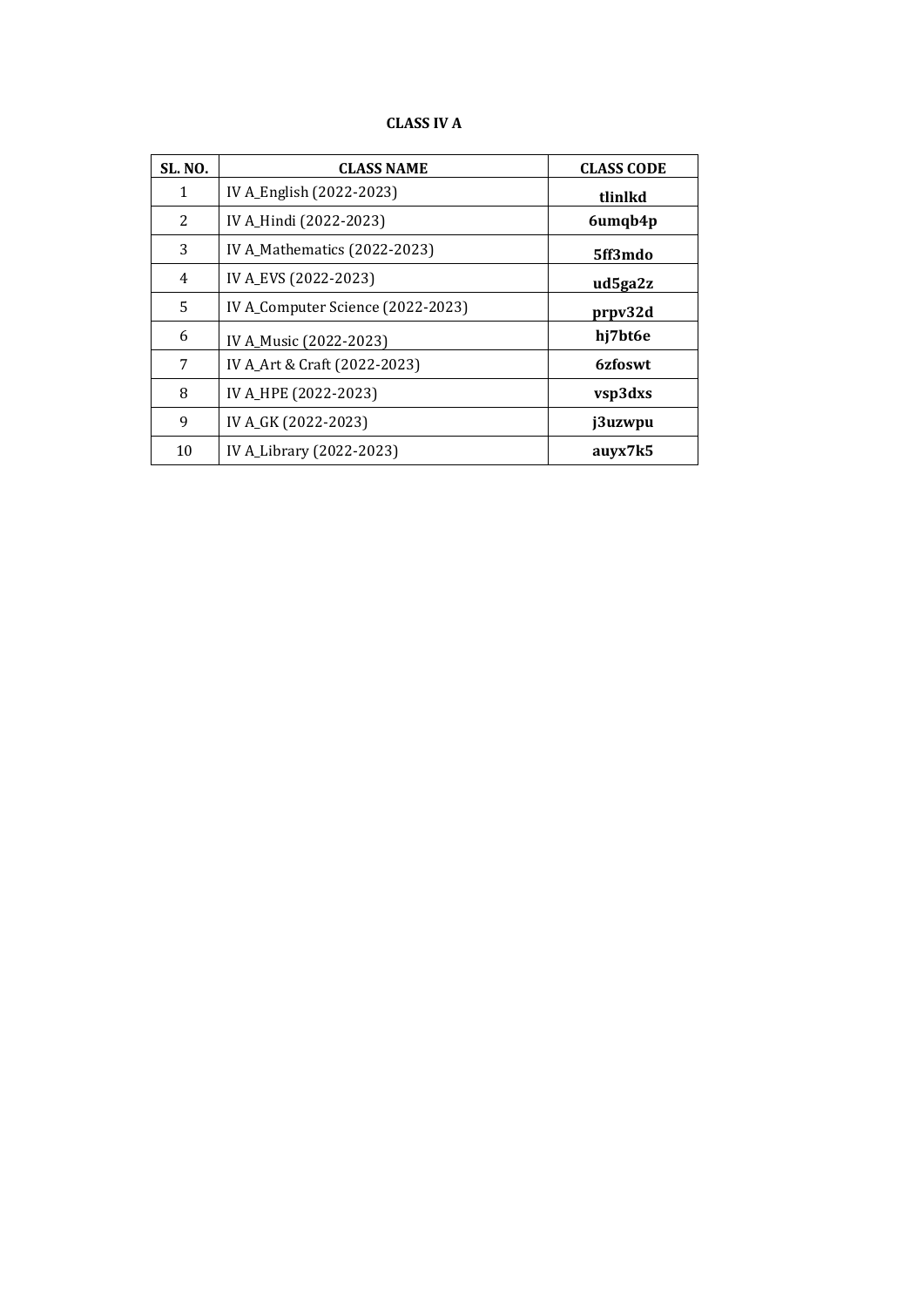#### **CLASS IV A**

| <b>SL. NO.</b> | <b>CLASS NAME</b>                 | <b>CLASS CODE</b> |
|----------------|-----------------------------------|-------------------|
| $\mathbf{1}$   | IV A_English (2022-2023)          | tlinlkd           |
| $\overline{2}$ | IV A_Hindi (2022-2023)            | 6umqb4p           |
| 3              | IV A_Mathematics (2022-2023)      | 5ff3mdo           |
| 4              | IV A_EVS (2022-2023)              | ud5ga2z           |
| 5              | IV A_Computer Science (2022-2023) | prpv32d           |
| 6              | IV A_Music (2022-2023)            | hj7bt6e           |
| 7              | IV A_Art & Craft (2022-2023)      | 6zfoswt           |
| 8              | IV A_HPE (2022-2023)              | vsp3dxs           |
| 9              | IV A_GK (2022-2023)               | j3uzwpu           |
| 10             | IV A_Library (2022-2023)          | auyx7k5           |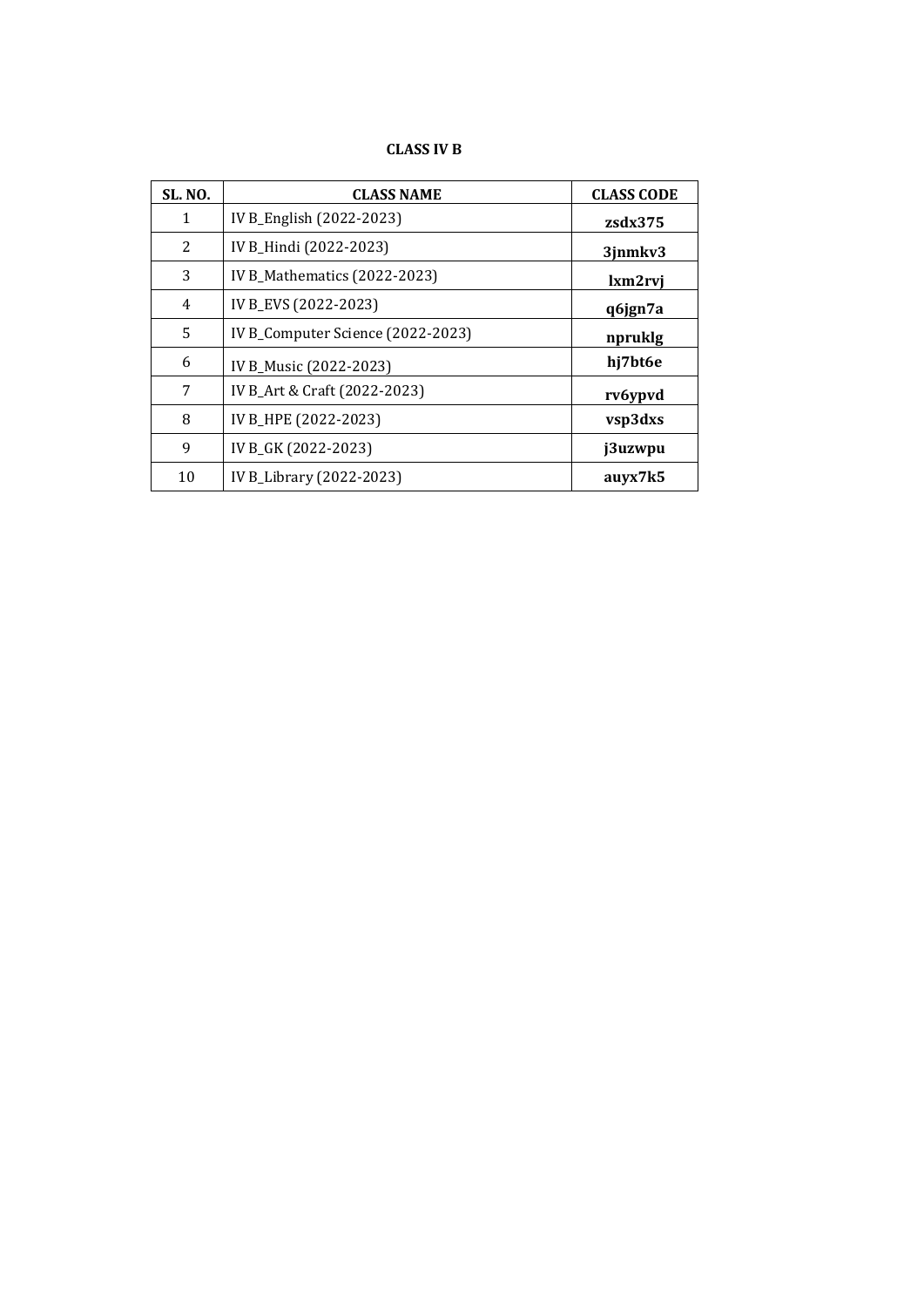# **CLASS IV B**

| <b>SL. NO.</b> | <b>CLASS NAME</b>                 | <b>CLASS CODE</b> |
|----------------|-----------------------------------|-------------------|
| 1              | IV B_English (2022-2023)          | $z$ sdx $375$     |
| 2              | IV B_Hindi (2022-2023)            | 3jnmkv3           |
| 3              | IV B_Mathematics (2022-2023)      | lxm2rvi           |
| 4              | IV B_EVS (2022-2023)              | q6jgn7a           |
| 5              | IV B_Computer Science (2022-2023) | npruklg           |
| 6              | IV B_Music (2022-2023)            | hj7bt6e           |
| 7              | IV B_Art & Craft (2022-2023)      | rv6ypvd           |
| 8              | IV B_HPE (2022-2023)              | vsp3dxs           |
| 9              | IV B_GK (2022-2023)               | j3uzwpu           |
| 10             | IV B_Library (2022-2023)          | auyx7k5           |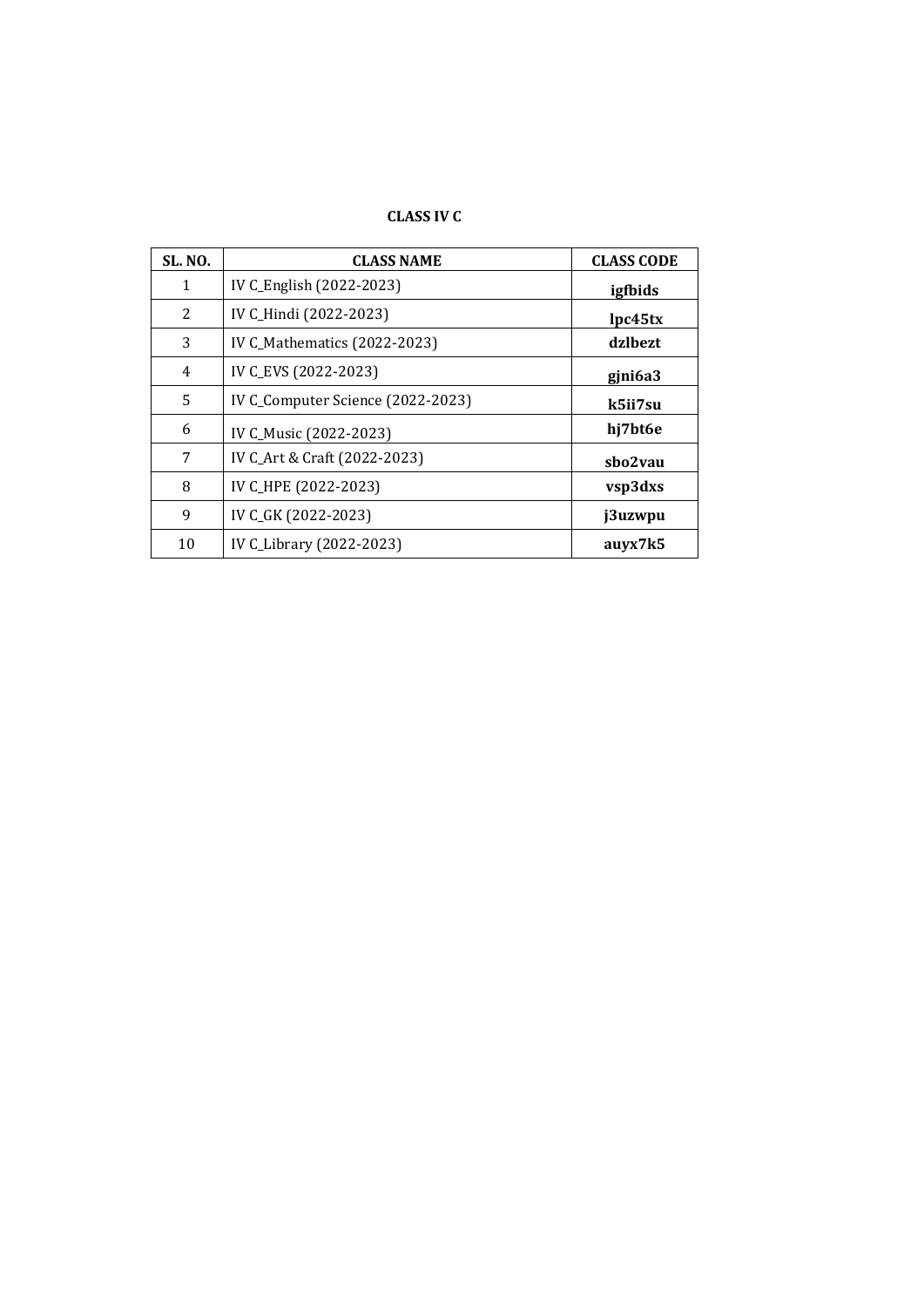# **CLASS IV C**

| <b>SL. NO.</b> | <b>CLASS NAME</b>                 | <b>CLASS CODE</b> |
|----------------|-----------------------------------|-------------------|
| $\mathbf{1}$   | IV C_English (2022-2023)          | igfbids           |
| 2              | IV C_Hindi (2022-2023)            | lpc45tx           |
| 3              | IV C_Mathematics (2022-2023)      | dzlbezt           |
| 4              | IV C_EVS (2022-2023)              | gjni6a3           |
| 5              | IV C_Computer Science (2022-2023) | k5ii7su           |
| 6              | IV C_Music (2022-2023)            | hj7bt6e           |
| 7              | IV C_Art & Craft (2022-2023)      | sbo2vau           |
| 8              | IV C_HPE (2022-2023)              | vsp3dxs           |
| 9              | IV C_GK (2022-2023)               | j3uzwpu           |
| 10             | IV C_Library (2022-2023)          | auvx7k5           |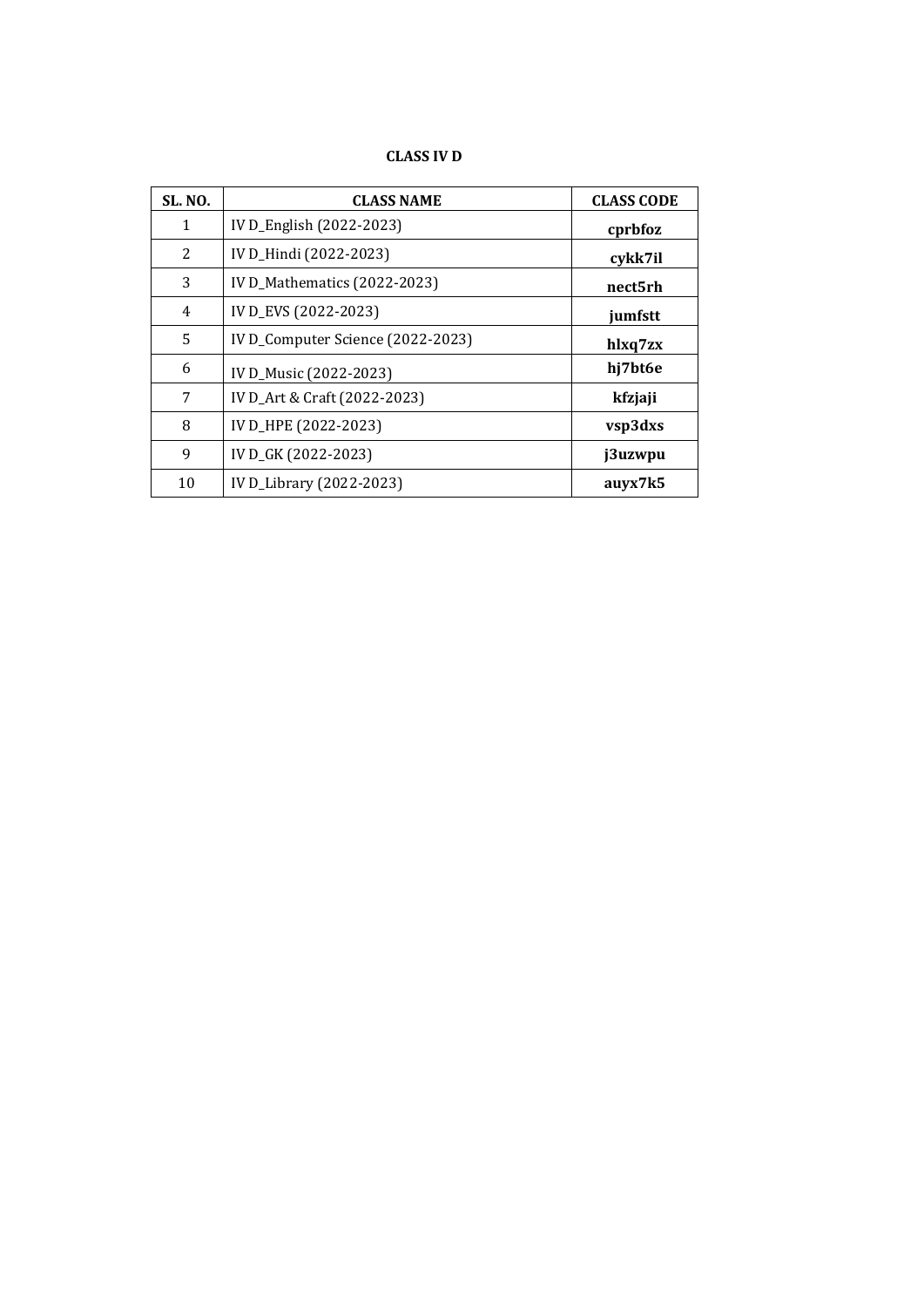# **CLASS IV D**

| <b>SL. NO.</b> | <b>CLASS NAME</b>                 | <b>CLASS CODE</b> |
|----------------|-----------------------------------|-------------------|
| 1              | IV D_English (2022-2023)          | cprbfoz           |
| 2              | IV D_Hindi (2022-2023)            | cykk7il           |
| 3              | IV D_Mathematics (2022-2023)      | nect5rh           |
| 4              | IV D_EVS (2022-2023)              | jumfstt           |
| 5              | IV D_Computer Science (2022-2023) | hlxq7zx           |
| 6              | IV D_Music (2022-2023)            | hj7bt6e           |
| 7              | IV D_Art & Craft (2022-2023)      | kfzjaji           |
| 8              | IV D_HPE (2022-2023)              | vsp3dxs           |
| 9              | IV D_GK (2022-2023)               | j3uzwpu           |
| 10             | IV D_Library (2022-2023)          | auyx7k5           |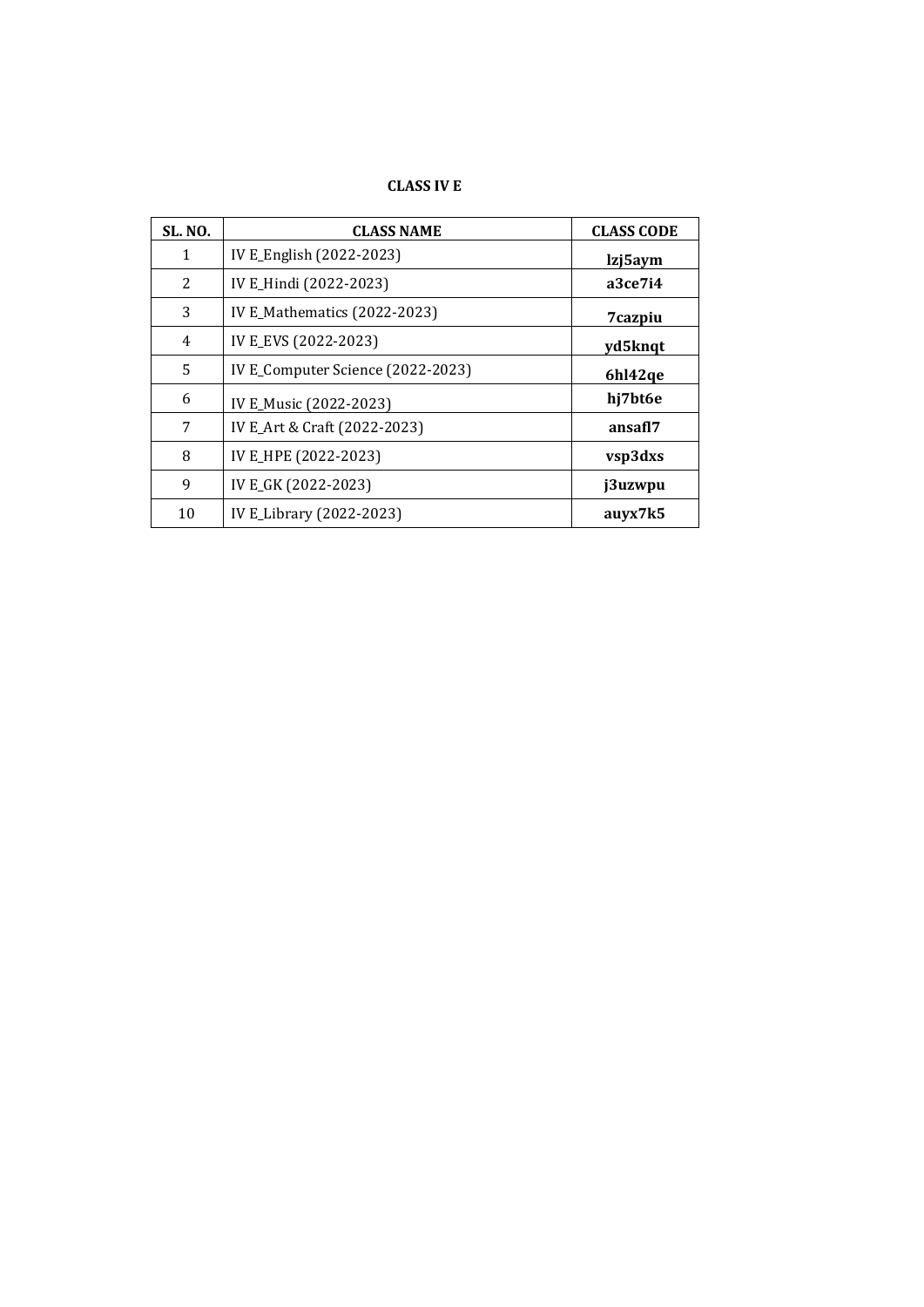#### **CLASS IV E**

| <b>SL. NO.</b> | <b>CLASS NAME</b>                 | <b>CLASS CODE</b> |
|----------------|-----------------------------------|-------------------|
| 1              | IV E_English (2022-2023)          | lzj5aym           |
| 2              | IV E_Hindi (2022-2023)            | a3ce7i4           |
| 3              | IV E_Mathematics (2022-2023)      | 7cazpiu           |
| $\overline{4}$ | IV E_EVS (2022-2023)              | yd5knqt           |
| 5              | IV E_Computer Science (2022-2023) | 6hl42qe           |
| 6              | IV E_Music (2022-2023)            | hj7bt6e           |
| 7              | IV E_Art & Craft (2022-2023)      | ansafl7           |
| 8              | IV E_HPE (2022-2023)              | vsp3dxs           |
| 9              | IV E_GK (2022-2023)               | j3uzwpu           |
| 10             | IV E_Library (2022-2023)          | auyx7k5           |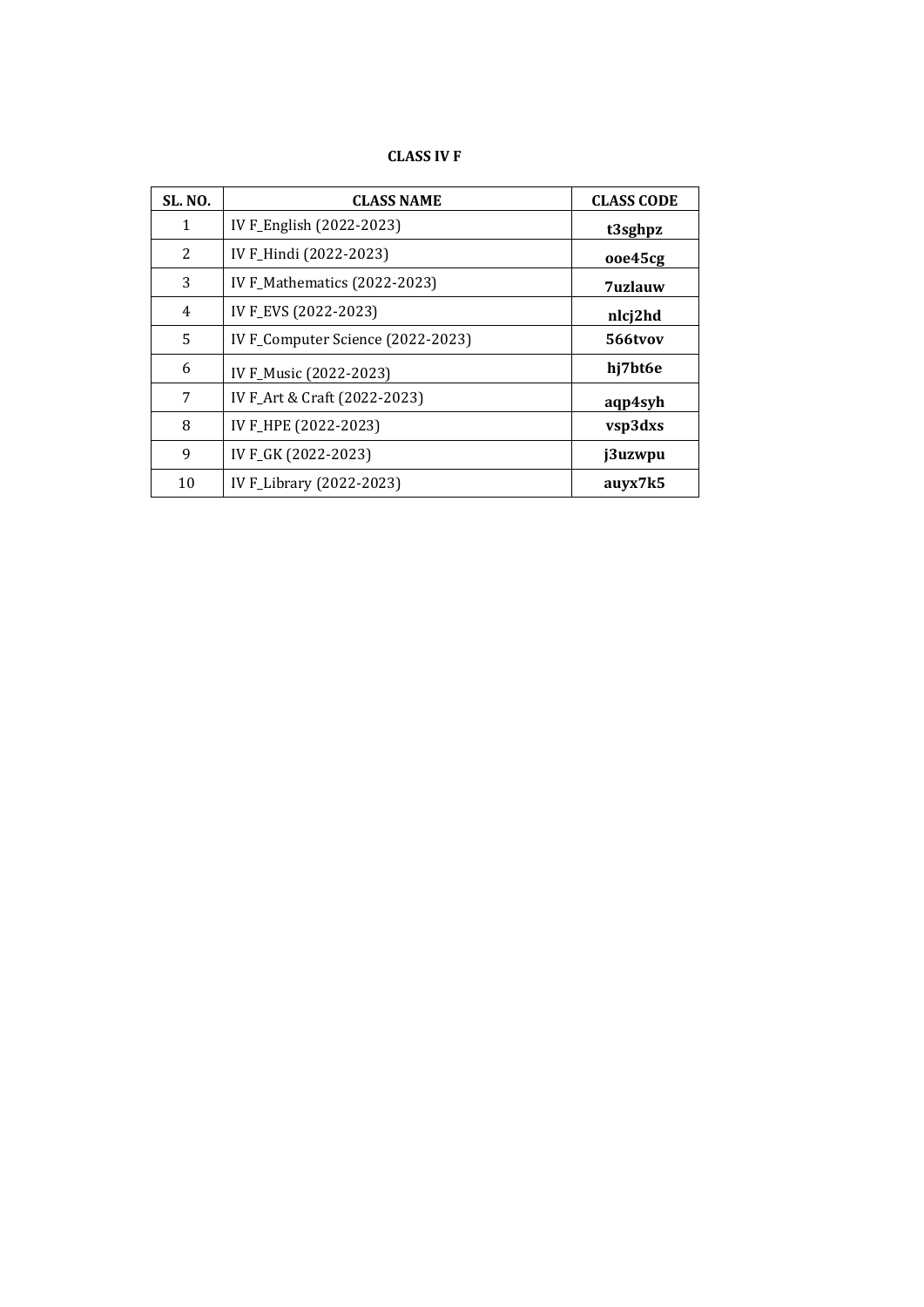# **CLASS IV F**

| <b>SL. NO.</b> | <b>CLASS NAME</b>                 | <b>CLASS CODE</b> |
|----------------|-----------------------------------|-------------------|
| 1              | IV F_English (2022-2023)          | t3sghpz           |
| 2              | IV F_Hindi (2022-2023)            | ooe45cg           |
| 3              | IV F_Mathematics (2022-2023)      | <b>7uzlauw</b>    |
| 4              | IV F_EVS (2022-2023)              | nlcj2hd           |
| 5              | IV F_Computer Science (2022-2023) | 566tvov           |
| 6              | IV F_Music (2022-2023)            | hj7bt6e           |
| 7              | IV F_Art & Craft (2022-2023)      | aqp4syh           |
| 8              | IV F_HPE (2022-2023)              | vsp3dxs           |
| 9              | IV F_GK (2022-2023)               | j3uzwpu           |
| 10             | IV F_Library (2022-2023)          | auyx7k5           |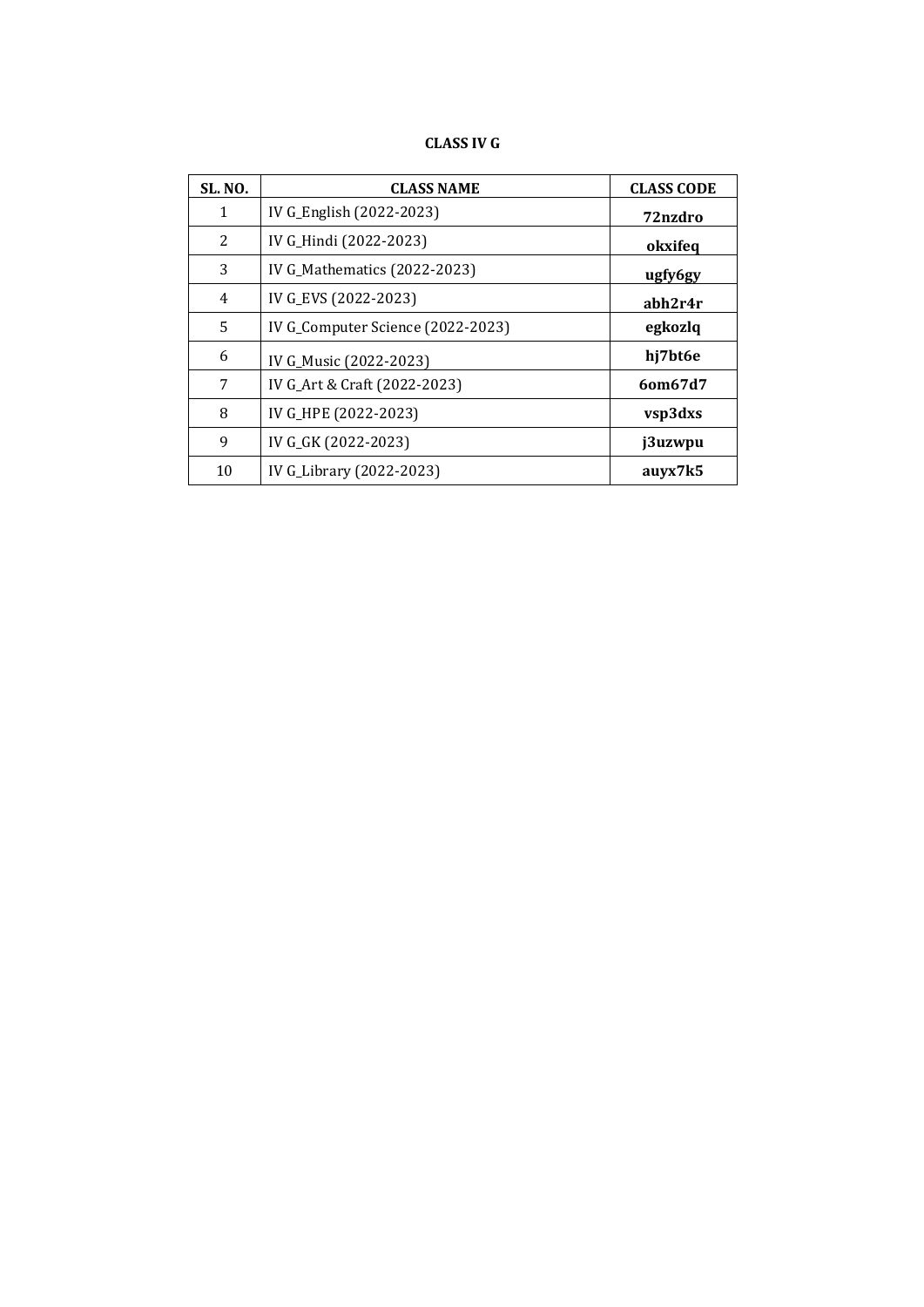# **CLASS IV G**

| <b>SL. NO.</b> | <b>CLASS NAME</b>                 | <b>CLASS CODE</b> |
|----------------|-----------------------------------|-------------------|
| $\mathbf{1}$   | IV G_English (2022-2023)          | 72nzdro           |
| 2              | IV G_Hindi (2022-2023)            | okxifeq           |
| 3              | IV G_Mathematics (2022-2023)      | ugfy6gy           |
| $\overline{4}$ | IV G_EVS (2022-2023)              | abh2r4r           |
| 5              | IV G_Computer Science (2022-2023) | egkozlq           |
| 6              | IV G_Music (2022-2023)            | hj7bt6e           |
| 7              | IV G_Art & Craft (2022-2023)      | 60m67d7           |
| 8              | IV G_HPE (2022-2023)              | vsp3dxs           |
| 9              | IV G_GK (2022-2023)               | j3uzwpu           |
| 10             | IV G_Library (2022-2023)          | auyx7k5           |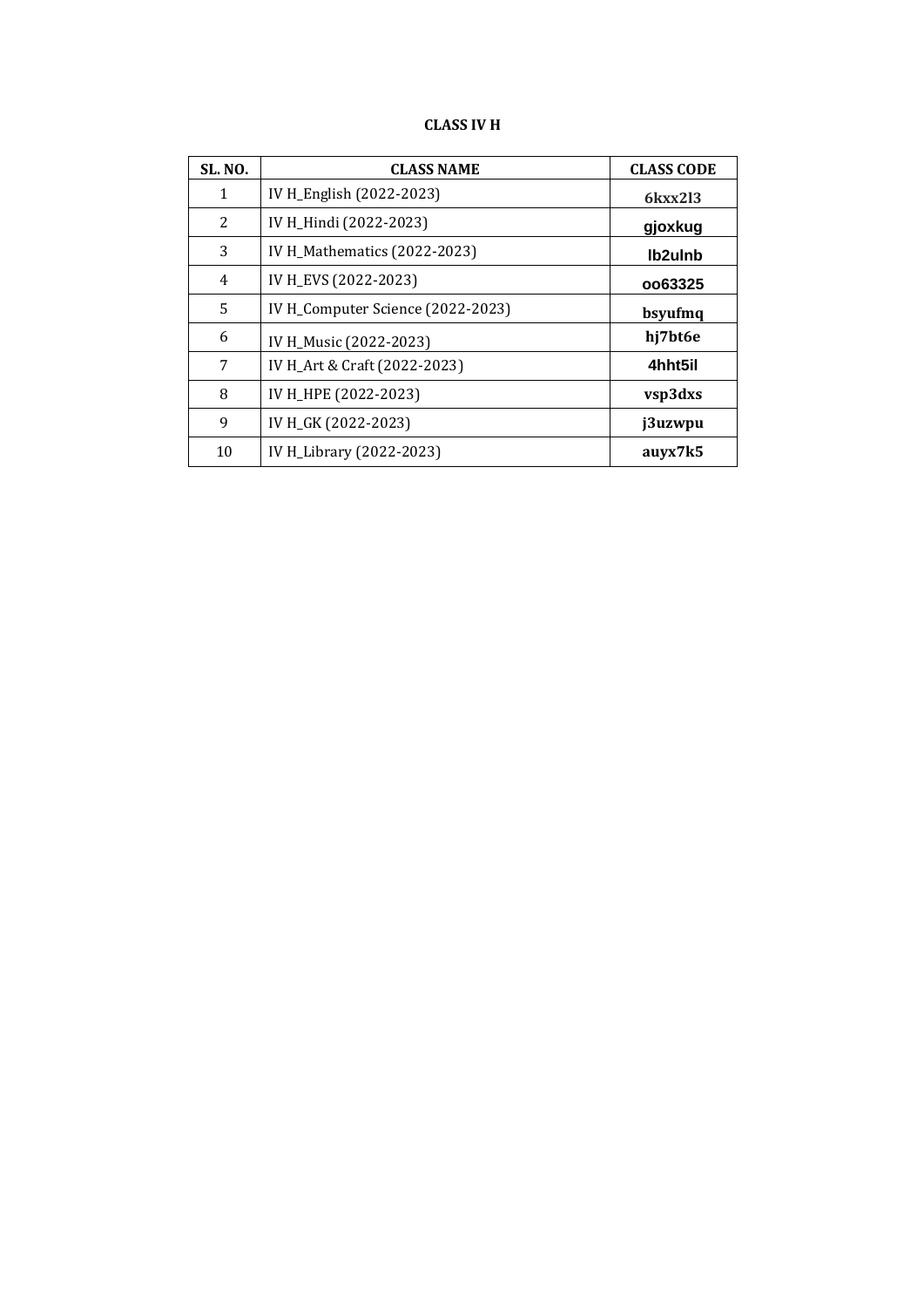# **CLASS IV H**

| <b>SL. NO.</b> | <b>CLASS NAME</b>                 | <b>CLASS CODE</b> |
|----------------|-----------------------------------|-------------------|
| 1              | IV H_English (2022-2023)          | 6kxx213           |
| 2              | IV H_Hindi (2022-2023)            | gjoxkug           |
| 3              | IV H_Mathematics (2022-2023)      | lb2ulnb           |
| 4              | IV H_EVS (2022-2023)              | 0063325           |
| 5              | IV H_Computer Science (2022-2023) | bsyufmq           |
| 6              | IV H_Music (2022-2023)            | hj7bt6e           |
| 7              | IV H_Art & Craft (2022-2023)      | 4hht5il           |
| 8              | IV H_HPE (2022-2023)              | vsp3dxs           |
| 9              | IV H_GK (2022-2023)               | j3uzwpu           |
| 10             | IV H_Library (2022-2023)          | auyx7k5           |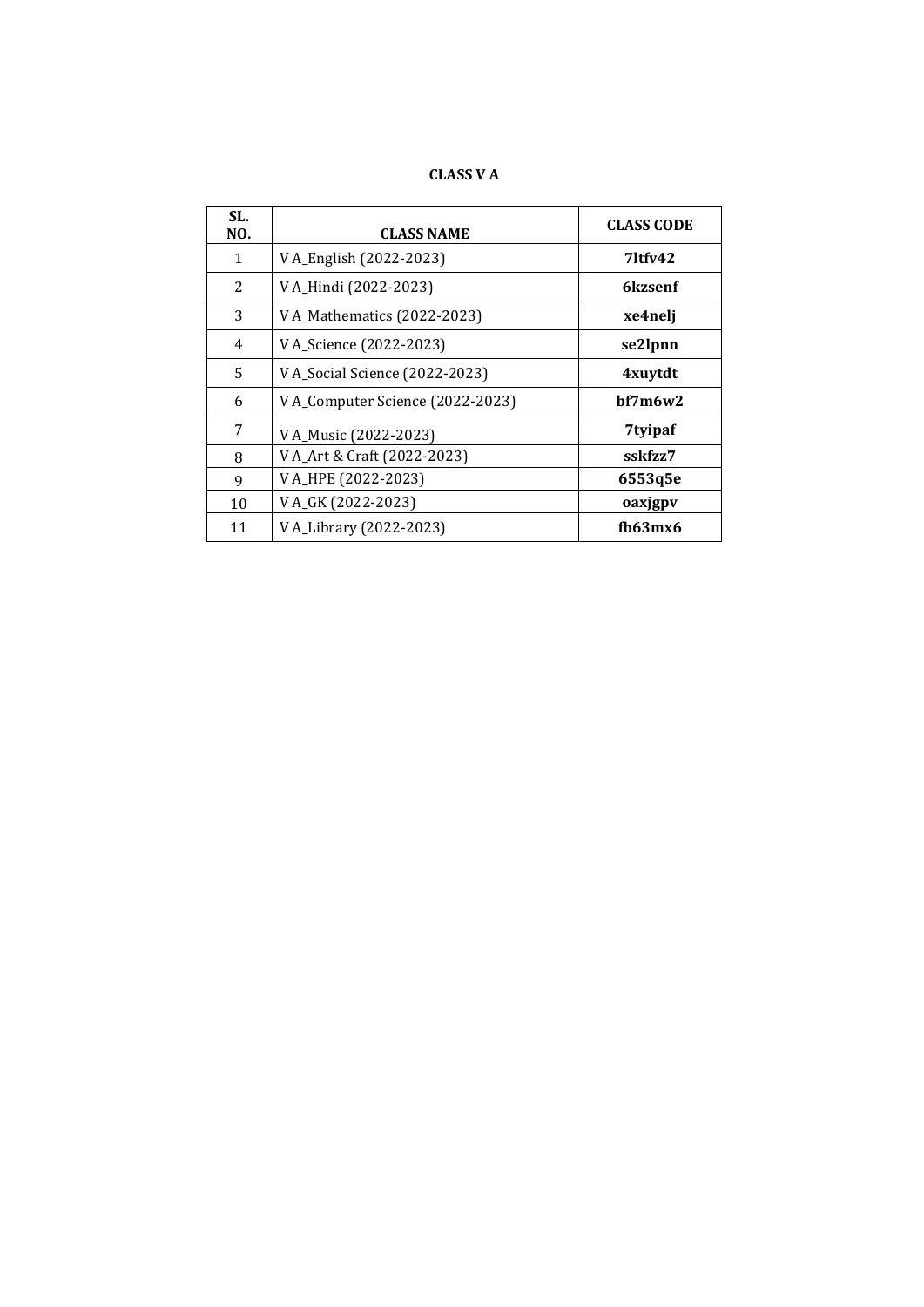**CLASS V A**

| SL.<br>NO. | <b>CLASS NAME</b>                | <b>CLASS CODE</b> |
|------------|----------------------------------|-------------------|
| 1          | V A_English (2022-2023)          | $7$ ltfv $42$     |
| 2          | V A_Hindi (2022-2023)            | 6kzsenf           |
| 3          | V A_Mathematics (2022-2023)      | xe4nelj           |
| 4          | V A_Science (2022-2023)          | se2lpnn           |
| 5          | V A_Social Science (2022-2023)   | 4xuytdt           |
| 6          | V A_Computer Science (2022-2023) | hf7m6w2           |
| 7          | V A_Music (2022-2023)            | 7tyipaf           |
| 8          | V A_Art & Craft (2022-2023)      | sskfzz7           |
| 9          | V A_HPE (2022-2023)              | 6553q5e           |
| 10         | V A_GK (2022-2023)               | oaxjgpv           |
| 11         | V A_Library (2022-2023)          | $f\frac{h}{3}mx$  |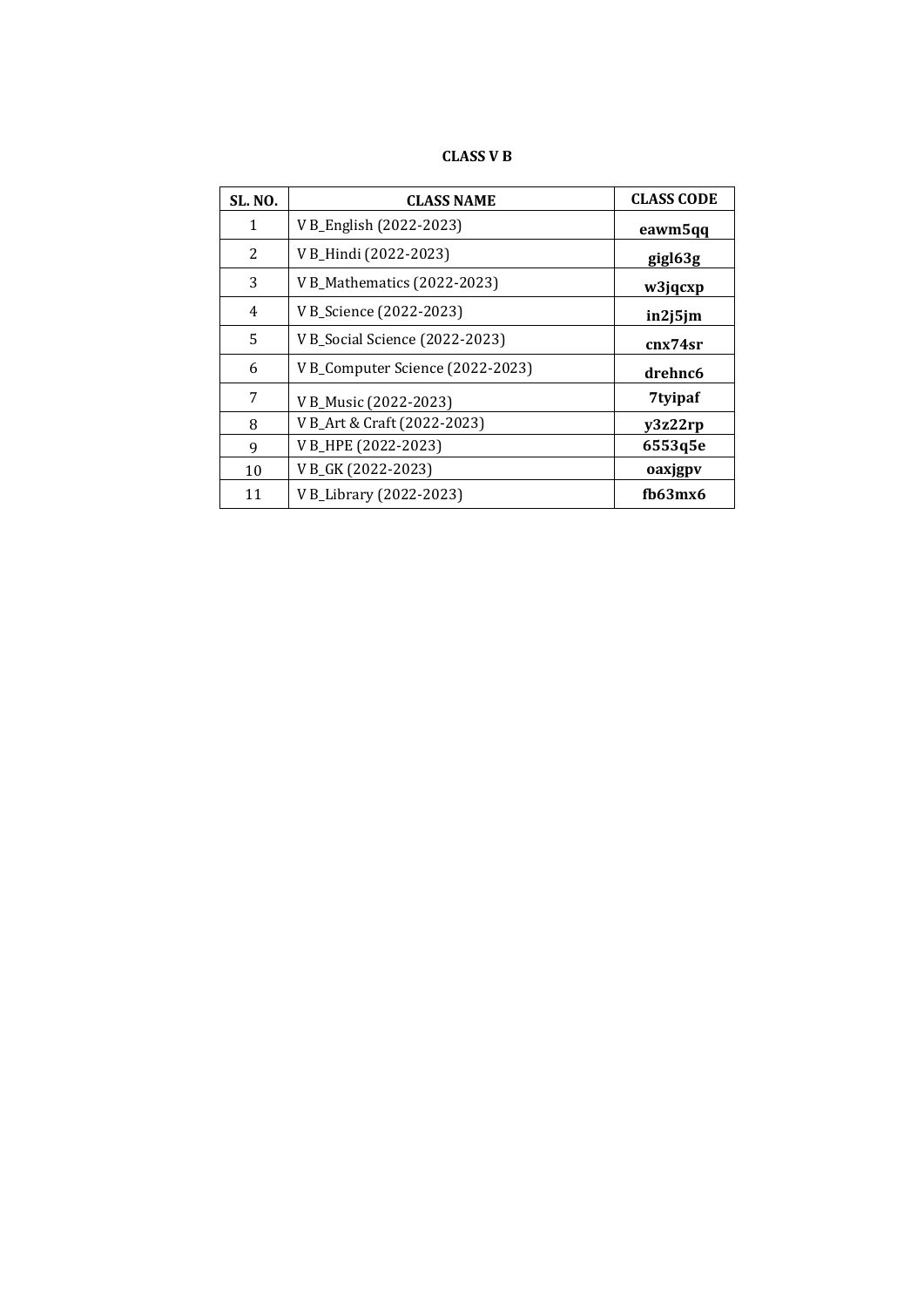# **CLASS V B**

| <b>SL. NO.</b> | <b>CLASS NAME</b>                | <b>CLASS CODE</b> |
|----------------|----------------------------------|-------------------|
| 1              | V B_English (2022-2023)          | eawm5qq           |
| 2              | V B_Hindi (2022-2023)            | gigl63g           |
| 3              | V B_Mathematics (2022-2023)      | w3jqcxp           |
| 4              | V B_Science (2022-2023)          | in2j5jm           |
| 5              | V B_Social Science (2022-2023)   | cnx74sr           |
| 6              | V B_Computer Science (2022-2023) | drehnc6           |
| 7              | V B_Music (2022-2023)            | 7tyipaf           |
| 8              | V B_Art & Craft (2022-2023)      | y3z22rp           |
| 9              | V B_HPE (2022-2023)              | 6553q5e           |
| 10             | V B_GK (2022-2023)               | oaxjgpv           |
| 11             | V B_Library (2022-2023)          | fb63mx6           |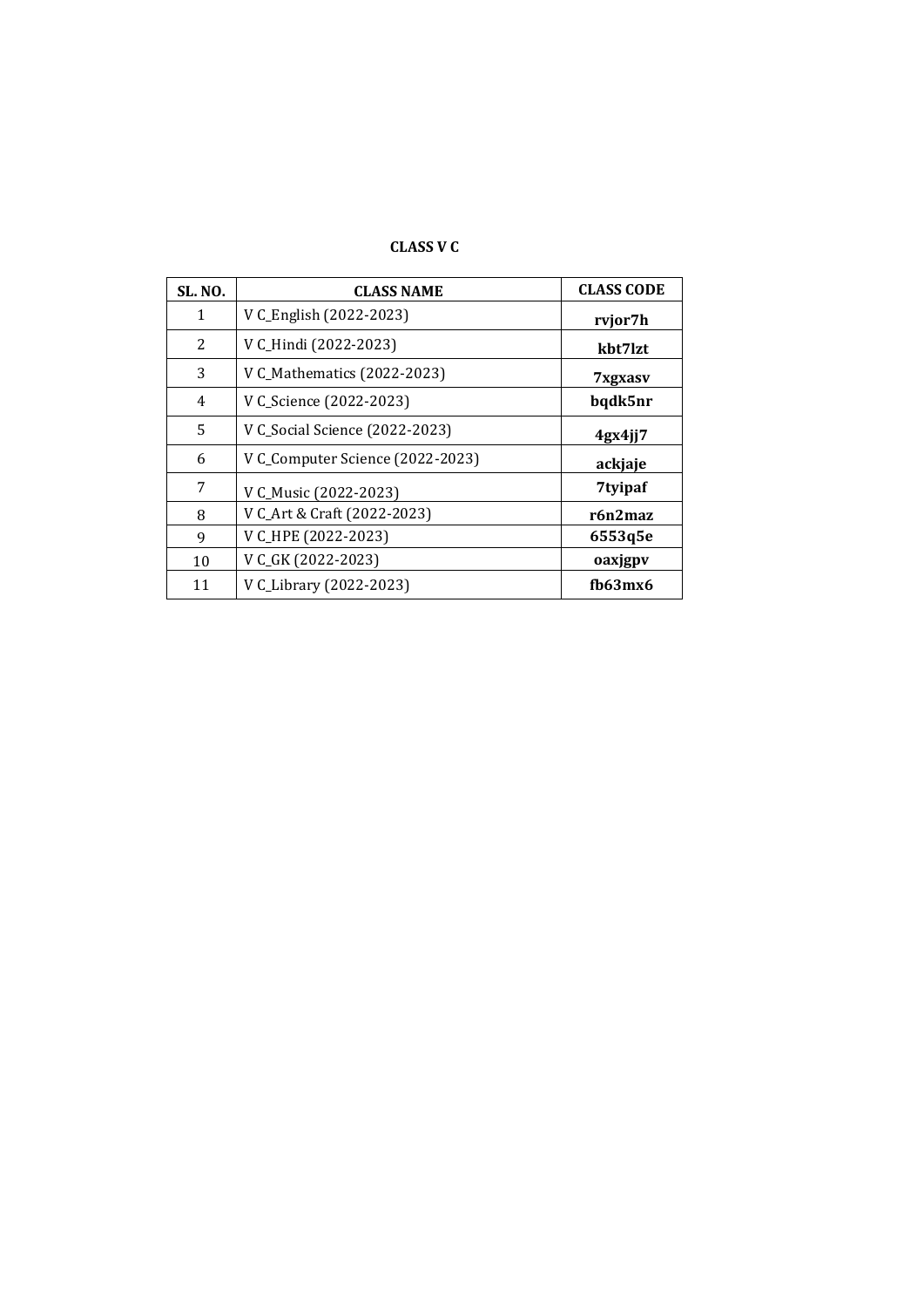# **CLASS V C**

| <b>SL. NO.</b> | <b>CLASS NAME</b>                | <b>CLASS CODE</b> |
|----------------|----------------------------------|-------------------|
| 1              | V C_English (2022-2023)          | rvjor7h           |
| 2              | V C_Hindi (2022-2023)            | kbt7lzt           |
| 3              | V C_Mathematics (2022-2023)      | 7xgxasv           |
| $\overline{4}$ | V C_Science (2022-2023)          | bqdk5nr           |
| 5              | V C_Social Science (2022-2023)   | 4gx4jj7           |
| 6              | V C_Computer Science (2022-2023) | ackjaje           |
| 7              | V C_Music (2022-2023)            | 7tyipaf           |
| 8              | V C_Art & Craft (2022-2023)      | r6n2maz           |
| 9              | V C_HPE (2022-2023)              | 6553q5e           |
| 10             | V C_GK (2022-2023)               | oaxjgpv           |
| 11             | V C_Library (2022-2023)          | $f\frac{h}{3}mx$  |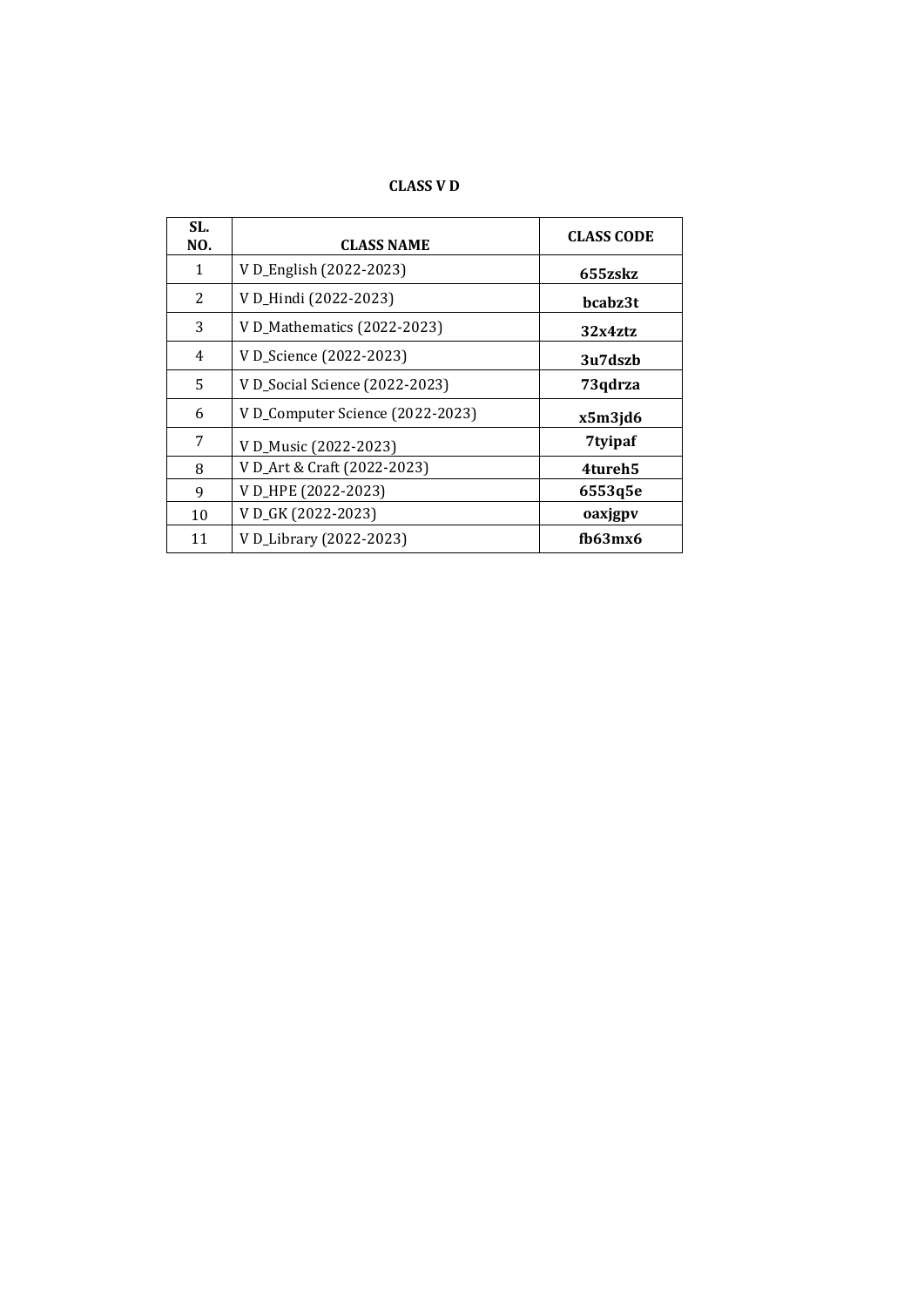**CLASS V D**

| SL.<br>NO. | <b>CLASS NAME</b>               | <b>CLASS CODE</b> |
|------------|---------------------------------|-------------------|
| 1          | V D_English (2022-2023)         | 655zskz           |
| 2          | V D_Hindi (2022-2023)           | bcabz3t           |
| 3          | V D_Mathematics (2022-2023)     | 32x4ztz           |
| 4          | V D_Science (2022-2023)         | 3u7dszb           |
| 5.         | V D_Social Science (2022-2023)  | 73qdrza           |
| 6          | VD_Computer Science (2022-2023) | x5m3jd6           |
| 7          | V D_Music (2022-2023)           | 7tyipaf           |
| 8          | V D_Art & Craft (2022-2023)     | 4tureh5           |
| 9          | V D_HPE (2022-2023)             | 6553q5e           |
| 10         | V D_GK (2022-2023)              | oaxjgpv           |
| 11         | V D_Library (2022-2023)         | fh63mx6           |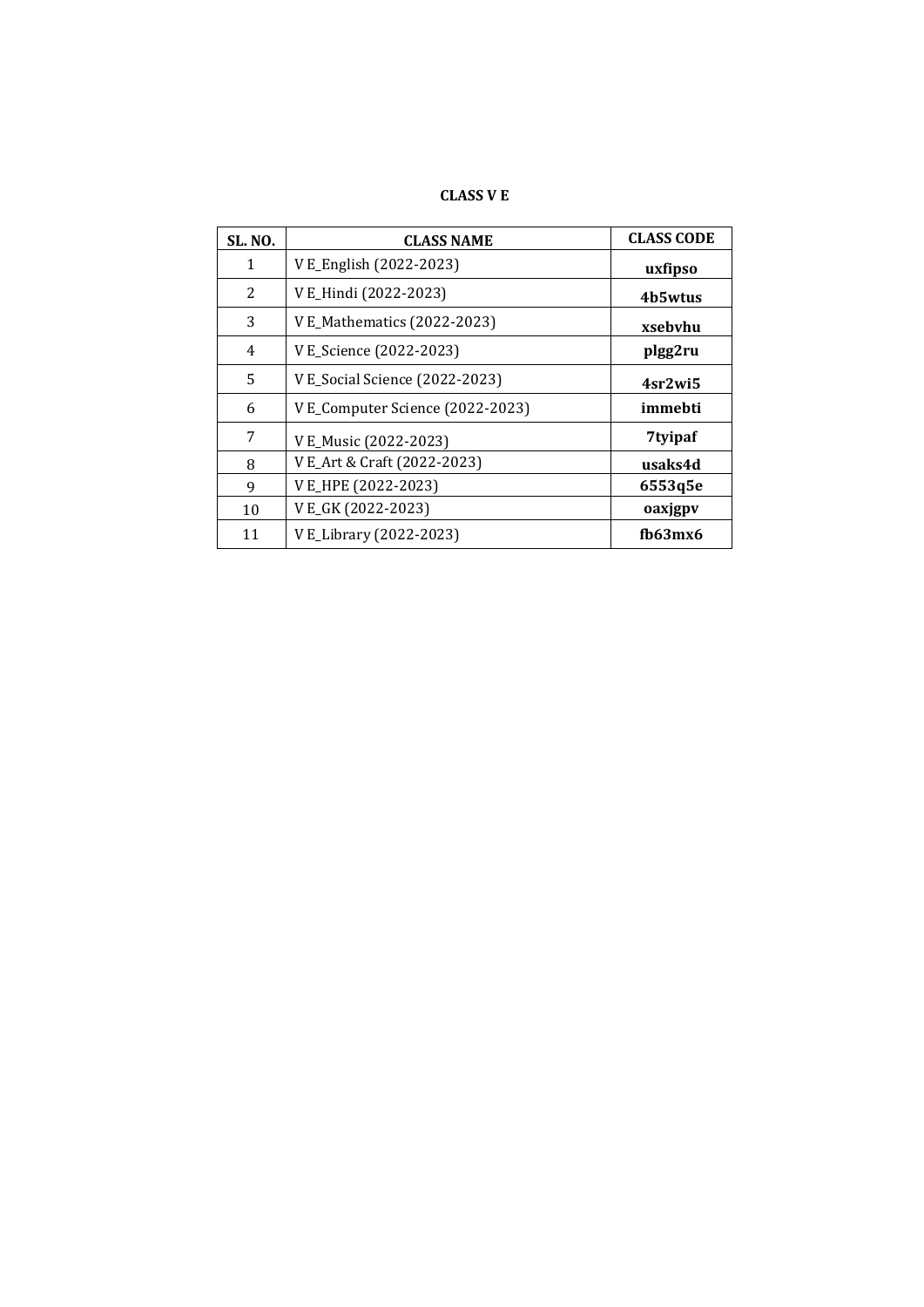| CLASS V E |  |  |  |
|-----------|--|--|--|
|-----------|--|--|--|

| <b>SL. NO.</b> | <b>CLASS NAME</b>                | <b>CLASS CODE</b> |
|----------------|----------------------------------|-------------------|
| 1              | V E_English (2022-2023)          | uxfipso           |
| 2              | V E_Hindi (2022-2023)            | 4b5wtus           |
| 3              | V E_Mathematics (2022-2023)      | xsebvhu           |
| 4              | V E_Science (2022-2023)          | plgg2ru           |
| 5              | V E_Social Science (2022-2023)   | 4sr2wi5           |
| 6              | V E_Computer Science (2022-2023) | immebti           |
| 7              | V E_Music (2022-2023)            | 7tyipaf           |
| 8              | V E_Art & Craft (2022-2023)      | usaks4d           |
| 9              | VE_HPE (2022-2023)               | 6553q5e           |
| 10             | VEGK (2022-2023)                 | oaxjgpv           |
| 11             | V E_Library (2022-2023)          | fh63mx6           |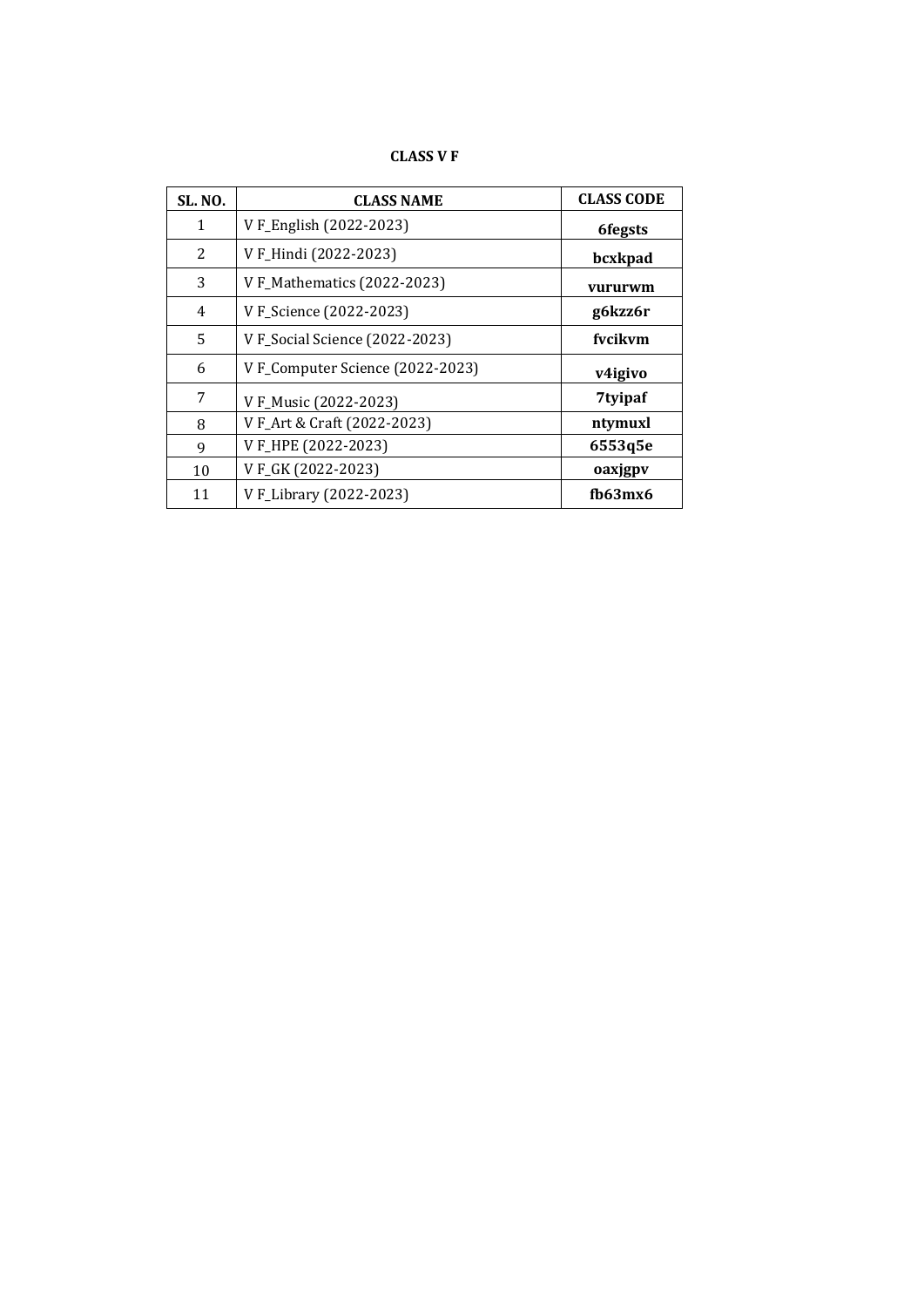# **CLASS V F**

| <b>SL. NO.</b> | <b>CLASS NAME</b>               | <b>CLASS CODE</b> |
|----------------|---------------------------------|-------------------|
| 1              | V F_English (2022-2023)         | <b>6fegsts</b>    |
| $\overline{c}$ | V F_Hindi (2022-2023)           | bcxkpad           |
| 3              | V F_Mathematics (2022-2023)     | vururwm           |
| $\overline{4}$ | V F_Science (2022-2023)         | g6kzz6r           |
| 5              | V F_Social Science (2022-2023)  | fvcikvm           |
| 6              | VF_Computer Science (2022-2023) | v4igivo           |
| 7              | V F_Music (2022-2023)           | 7tyipaf           |
| 8              | V F_Art & Craft (2022-2023)     | ntymuxl           |
| 9              | VF_HPE (2022-2023)              | 6553q5e           |
| 10             | VFGK (2022-2023)                | oaxjgpv           |
| 11             | V F_Library (2022-2023)         | fb63mx6           |